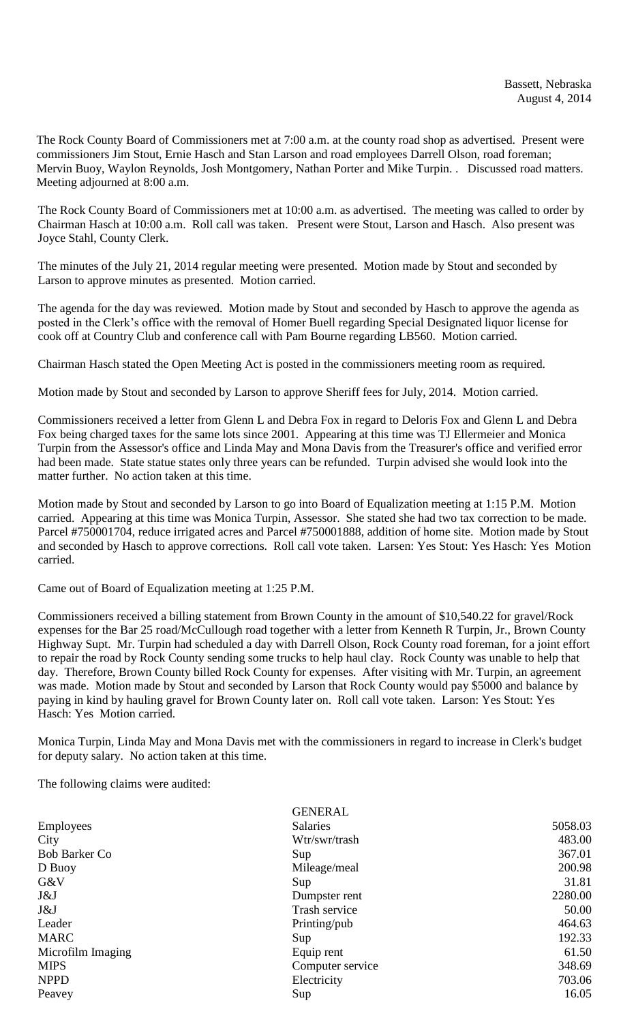The Rock County Board of Commissioners met at 7:00 a.m. at the county road shop as advertised. Present were commissioners Jim Stout, Ernie Hasch and Stan Larson and road employees Darrell Olson, road foreman; Mervin Buoy, Waylon Reynolds, Josh Montgomery, Nathan Porter and Mike Turpin. . Discussed road matters. Meeting adjourned at 8:00 a.m.

The Rock County Board of Commissioners met at 10:00 a.m. as advertised. The meeting was called to order by Chairman Hasch at 10:00 a.m. Roll call was taken. Present were Stout, Larson and Hasch. Also present was Joyce Stahl, County Clerk.

The minutes of the July 21, 2014 regular meeting were presented. Motion made by Stout and seconded by Larson to approve minutes as presented. Motion carried.

The agenda for the day was reviewed. Motion made by Stout and seconded by Hasch to approve the agenda as posted in the Clerk's office with the removal of Homer Buell regarding Special Designated liquor license for cook off at Country Club and conference call with Pam Bourne regarding LB560. Motion carried.

Chairman Hasch stated the Open Meeting Act is posted in the commissioners meeting room as required.

Motion made by Stout and seconded by Larson to approve Sheriff fees for July, 2014. Motion carried.

Commissioners received a letter from Glenn L and Debra Fox in regard to Deloris Fox and Glenn L and Debra Fox being charged taxes for the same lots since 2001. Appearing at this time was TJ Ellermeier and Monica Turpin from the Assessor's office and Linda May and Mona Davis from the Treasurer's office and verified error had been made. State statue states only three years can be refunded. Turpin advised she would look into the matter further. No action taken at this time.

Motion made by Stout and seconded by Larson to go into Board of Equalization meeting at 1:15 P.M. Motion carried. Appearing at this time was Monica Turpin, Assessor. She stated she had two tax correction to be made. Parcel #750001704, reduce irrigated acres and Parcel #750001888, addition of home site. Motion made by Stout and seconded by Hasch to approve corrections. Roll call vote taken. Larsen: Yes Stout: Yes Hasch: Yes Motion carried.

Came out of Board of Equalization meeting at 1:25 P.M.

Commissioners received a billing statement from Brown County in the amount of \$10,540.22 for gravel/Rock expenses for the Bar 25 road/McCullough road together with a letter from Kenneth R Turpin, Jr., Brown County Highway Supt. Mr. Turpin had scheduled a day with Darrell Olson, Rock County road foreman, for a joint effort to repair the road by Rock County sending some trucks to help haul clay. Rock County was unable to help that day. Therefore, Brown County billed Rock County for expenses. After visiting with Mr. Turpin, an agreement was made. Motion made by Stout and seconded by Larson that Rock County would pay \$5000 and balance by paying in kind by hauling gravel for Brown County later on. Roll call vote taken. Larson: Yes Stout: Yes Hasch: Yes Motion carried.

Monica Turpin, Linda May and Mona Davis met with the commissioners in regard to increase in Clerk's budget for deputy salary. No action taken at this time.

The following claims were audited:

|                      | <b>GENERAL</b>   |         |
|----------------------|------------------|---------|
| Employees            | <b>Salaries</b>  | 5058.03 |
| City                 | Wtr/swr/trash    | 483.00  |
| <b>Bob Barker Co</b> | Sup              | 367.01  |
| D Buoy               | Mileage/meal     | 200.98  |
| G&V                  | Sup              | 31.81   |
| J&J                  | Dumpster rent    | 2280.00 |
| J&J                  | Trash service    | 50.00   |
| Leader               | Printing/pub     | 464.63  |
| <b>MARC</b>          | Sup              | 192.33  |
| Microfilm Imaging    | Equip rent       | 61.50   |
| <b>MIPS</b>          | Computer service | 348.69  |
| <b>NPPD</b>          | Electricity      | 703.06  |
| Peavey               | Sup              | 16.05   |
|                      |                  |         |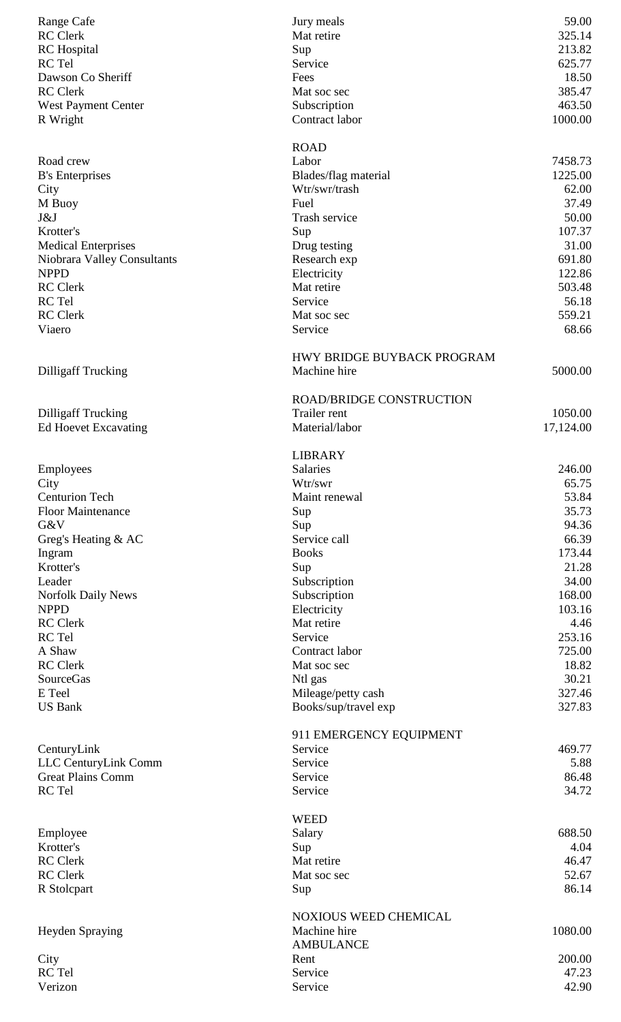| Range Cafe                                 | Jury meals                      | 59.00            |
|--------------------------------------------|---------------------------------|------------------|
| <b>RC</b> Clerk                            | Mat retire                      | 325.14           |
| <b>RC</b> Hospital                         | Sup                             | 213.82           |
| RC Tel                                     | Service                         | 625.77           |
| Dawson Co Sheriff                          | Fees                            | 18.50            |
| <b>RC</b> Clerk                            | Mat soc sec                     | 385.47           |
| <b>West Payment Center</b>                 | Subscription                    | 463.50           |
| R Wright                                   | Contract labor                  | 1000.00          |
|                                            | <b>ROAD</b>                     |                  |
| Road crew                                  | Labor                           | 7458.73          |
| <b>B's Enterprises</b>                     | Blades/flag material            | 1225.00          |
| City                                       | Wtr/swr/trash                   | 62.00            |
| M Buoy                                     | Fuel                            | 37.49            |
| J&J                                        | Trash service                   | 50.00            |
| Krotter's                                  | Sup                             | 107.37           |
| <b>Medical Enterprises</b>                 | Drug testing                    | 31.00            |
| Niobrara Valley Consultants<br><b>NPPD</b> | Research exp                    | 691.80           |
| <b>RC</b> Clerk                            | Electricity<br>Mat retire       | 122.86<br>503.48 |
| RC Tel                                     | Service                         | 56.18            |
| <b>RC</b> Clerk                            | Mat soc sec                     | 559.21           |
| Viaero                                     | Service                         | 68.66            |
|                                            |                                 |                  |
|                                            | HWY BRIDGE BUYBACK PROGRAM      |                  |
| <b>Dilligaff Trucking</b>                  | Machine hire                    | 5000.00          |
|                                            | <b>ROAD/BRIDGE CONSTRUCTION</b> |                  |
| <b>Dilligaff Trucking</b>                  | Trailer rent                    | 1050.00          |
| <b>Ed Hoevet Excavating</b>                | Material/labor                  | 17,124.00        |
|                                            |                                 |                  |
|                                            | <b>LIBRARY</b><br>Salaries      | 246.00           |
| Employees                                  | Wtr/swr                         | 65.75            |
| City<br><b>Centurion Tech</b>              | Maint renewal                   | 53.84            |
| <b>Floor Maintenance</b>                   | Sup                             | 35.73            |
| G&V                                        | Sup                             | 94.36            |
| Greg's Heating $&AC$                       | Service call                    | 66.39            |
| Ingram                                     | <b>Books</b>                    | 173.44           |
| Krotter's                                  | Sup                             | 21.28            |
| Leader                                     | Subscription                    | 34.00            |
| <b>Norfolk Daily News</b>                  | Subscription                    | 168.00           |
| <b>NPPD</b>                                | Electricity                     | 103.16           |
| <b>RC</b> Clerk                            | Mat retire                      | 4.46             |
| RC Tel                                     | Service                         | 253.16           |
| A Shaw                                     | Contract labor                  | 725.00           |
| <b>RC</b> Clerk                            | Mat soc sec                     | 18.82            |
| <b>SourceGas</b>                           | Ntl gas                         | 30.21            |
| E Teel                                     | Mileage/petty cash              | 327.46           |
| <b>US Bank</b>                             | Books/sup/travel exp            | 327.83           |
|                                            | 911 EMERGENCY EQUIPMENT         |                  |
| CenturyLink                                | Service                         | 469.77           |
| LLC CenturyLink Comm                       | Service                         | 5.88             |
| <b>Great Plains Comm</b>                   | Service                         | 86.48            |
| RC Tel                                     | Service                         | 34.72            |
|                                            | <b>WEED</b>                     |                  |
| Employee                                   | Salary                          | 688.50           |
| Krotter's                                  | Sup                             | 4.04             |
| <b>RC</b> Clerk                            | Mat retire                      | 46.47            |
| <b>RC</b> Clerk                            | Mat soc sec                     | 52.67            |
| R Stolcpart                                | Sup                             | 86.14            |
|                                            | <b>NOXIOUS WEED CHEMICAL</b>    |                  |
| Heyden Spraying                            | Machine hire                    | 1080.00          |
|                                            | <b>AMBULANCE</b>                |                  |
| City                                       | Rent                            | 200.00           |
| RC Tel                                     | Service                         | 47.23            |
| Verizon                                    | Service                         | 42.90            |
|                                            |                                 |                  |